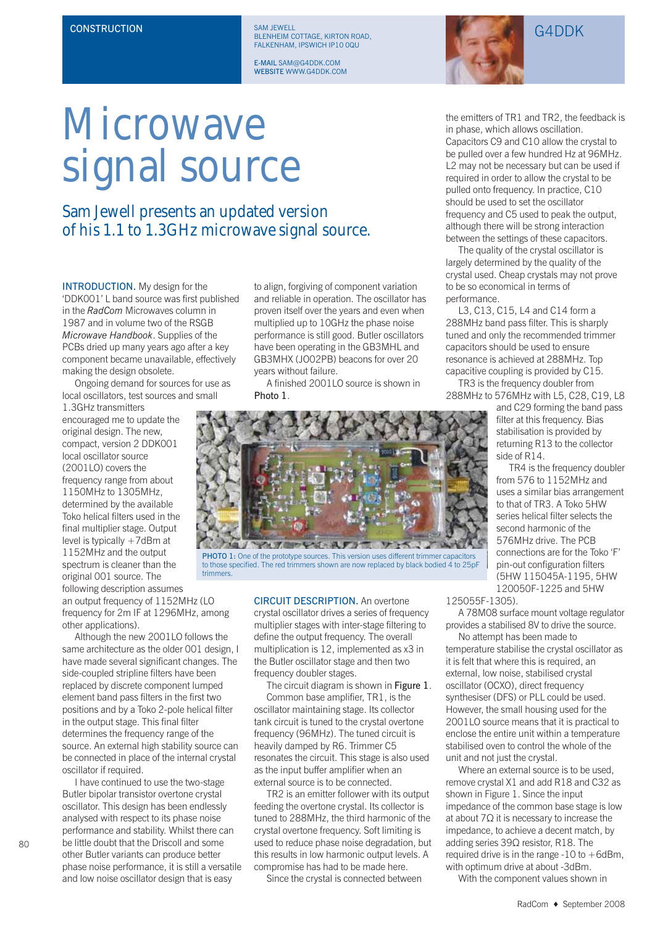CONSTRUCTION SAM JEWELL SAM JEWELL (SAM JEWELL) SAM JEWELL (SAM JEWELL) (G4DDK) EALKENHAM IPSWICH IP10 00U FALKENHAM, IPSWICH IP10 0QU

> **F-MAIL SAM@G4DDK COM** E-MAIL SAM@G4DDK.COM



## Microwave signal source

## Sam Jewell presents an updated version of his 1.1 to 1.3GHz microwave signal source.

INTRODUCTION. My design for the 'DDK001' L band source was first published in the *RadCom* Microwaves column in 1987 and in volume two of the RSGB *Microwave Handbook*. Supplies of the PCBs dried up many years ago after a key component became unavailable, effectively making the design obsolete.

Ongoing demand for sources for use as local oscillators, test sources and small

1.3GHz transmitters encouraged me to update the original design. The new, compact, version 2 DDK001 local oscillator source (2001LO) covers the frequency range from about 1150MHz to 1305MHz, determined by the available Toko helical filters used in the final multiplier stage. Output level is typically +7dBm at 1152MHz and the output spectrum is cleaner than the original 001 source. The following description assumes

an output frequency of 1152MHz (LO frequency for 2m IF at 1296MHz, among other applications).

Although the new 2001LO follows the same architecture as the older 001 design, I have made several significant changes. The side-coupled stripline filters have been replaced by discrete component lumped element band pass filters in the first two positions and by a Toko 2-pole helical filter in the output stage. This final filter determines the frequency range of the source. An external high stability source can be connected in place of the internal crystal oscillator if required.

I have continued to use the two-stage Butler bipolar transistor overtone crystal oscillator. This design has been endlessly analysed with respect to its phase noise performance and stability. Whilst there can be little doubt that the Driscoll and some other Butler variants can produce better phase noise performance, it is still a versatile and low noise oscillator design that is easy

 $80$ 

to align, forgiving of component variation and reliable in operation. The oscillator has proven itself over the years and even when multiplied up to 10GHz the phase noise performance is still good. Butler oscillators have been operating in the GB3MHL and GB3MHX (JO02PB) beacons for over 20 years without failure.

A finished 2001LO source is shown in Photo 1.



PHOTO 1: One of the prototype sources. This version uses different trimmer capacitors<br>to those specified. The red trimmers shown are now replaced by black bodied 4 to 25pF trimmers.

CIRCUIT DESCRIPTION. An overtone crystal oscillator drives a series of frequency multiplier stages with inter-stage filtering to define the output frequency. The overall multiplication is 12, implemented as x3 in the Butler oscillator stage and then two frequency doubler stages.

The circuit diagram is shown in Figure 1. Common base amplifier, TR1, is the oscillator maintaining stage. Its collector tank circuit is tuned to the crystal overtone frequency (96MHz). The tuned circuit is heavily damped by R6. Trimmer C5 resonates the circuit. This stage is also used as the input buffer amplifier when an external source is to be connected.

TR2 is an emitter follower with its output feeding the overtone crystal. Its collector is tuned to 288MHz, the third harmonic of the crystal overtone frequency. Soft limiting is used to reduce phase noise degradation, but this results in low harmonic output levels. A compromise has had to be made here.

Since the crystal is connected between

the emitters of TR1 and TR2, the feedback is in phase, which allows oscillation. Capacitors C9 and C10 allow the crystal to be pulled over a few hundred Hz at 96MHz. L2 may not be necessary but can be used if required in order to allow the crystal to be pulled onto frequency. In practice, C10 should be used to set the oscillator frequency and C5 used to peak the output, although there will be strong interaction between the settings of these capacitors.

The quality of the crystal oscillator is largely determined by the quality of the crystal used. Cheap crystals may not prove to be so economical in terms of performance.

L3, C13, C15, L4 and C14 form a 288MHz band pass filter. This is sharply tuned and only the recommended trimmer capacitors should be used to ensure resonance is achieved at 288MHz. Top capacitive coupling is provided by C15.

TR3 is the frequency doubler from 288MHz to 576MHz with L5, C28, C19, L8

and C29 forming the band pass filter at this frequency. Bias stabilisation is provided by returning R13 to the collector side of R14.

TR4 is the frequency doubler from 576 to 1152MHz and uses a similar bias arrangement to that of TR3. A Toko 5HW series helical filter selects the second harmonic of the 576MHz drive. The PCB connections are for the Toko 'F' pin-out configuration filters (5HW 115045A-1195, 5HW 120050F-1225 and 5HW

125055F-1305).

A 78M08 surface mount voltage regulator provides a stabilised 8V to drive the source.

No attempt has been made to temperature stabilise the crystal oscillator as it is felt that where this is required, an external, low noise, stabilised crystal oscillator (OCXO), direct frequency synthesiser (DFS) or PLL could be used. However, the small housing used for the 2001LO source means that it is practical to enclose the entire unit within a temperature stabilised oven to control the whole of the unit and not just the crystal.

Where an external source is to be used, remove crystal X1 and add R18 and C32 as shown in Figure 1. Since the input impedance of the common base stage is low at about 7Ω it is necessary to increase the impedance, to achieve a decent match, by adding series 39Ω resistor, R18. The required drive is in the range  $-10$  to  $+6d$ Bm, with optimum drive at about -3dBm.

With the component values shown in